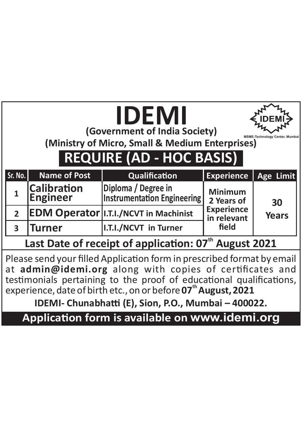|  | IDEMI<br>(Government of India Society)<br>E-Technology Center, Mumbai<br>(Ministry of Micro, Small & Medium Enterprises)<br><b>REQUIRE (AD - HOC BASIS)</b> |                                       |                                                           |                                  |                    |  |  |  |  |
|--|-------------------------------------------------------------------------------------------------------------------------------------------------------------|---------------------------------------|-----------------------------------------------------------|----------------------------------|--------------------|--|--|--|--|
|  | Sr. No.                                                                                                                                                     | <b>Name of Post</b>                   | Qualification                                             | <b>Experience</b>                | Age Limit          |  |  |  |  |
|  | $\mathbf{1}$                                                                                                                                                | <b>Calibration</b><br><b>Engineer</b> | Diploma / Degree in<br><b>Instrumentation Engineering</b> | <b>Minimum</b><br>2 Years of     | 30<br><b>Years</b> |  |  |  |  |
|  | 2 <sup>1</sup>                                                                                                                                              |                                       | <b>EDM Operator   I.T.I./NCVT in Machinist</b>            | <b>Experience</b><br>in relevant |                    |  |  |  |  |
|  | $\overline{\mathbf{3}}$                                                                                                                                     | Turner                                | I.T.I./NCVT in Turner                                     | field                            |                    |  |  |  |  |
|  | Last Date of receipt of application: 07 <sup>th</sup> August 2021                                                                                           |                                       |                                                           |                                  |                    |  |  |  |  |
|  | Please send your filled Application form in prescribed format by email                                                                                      |                                       |                                                           |                                  |                    |  |  |  |  |

Please send your filled Application form in prescribed format by email at **admin@idemi.org** along with copies of cerficates and testimonials pertaining to the proof of educational qualifications,<br>experience, date of birth etc., on or before **07<sup>th</sup> August, 2021** 

**IDEMI- Chunabhatti (E), Sion, P.O., Mumbai - 400022.** 

**Application form is available on www.idemi.org**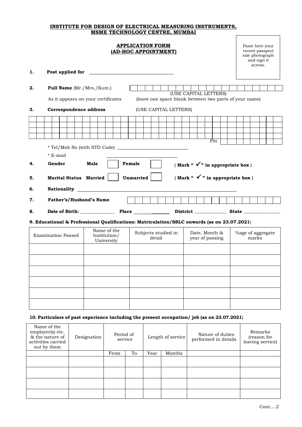### **INSTITUTE FOR DESIGN OF ELECTRICAL MEASURING INSTRUMENTS, MSME TECHNOLOGY CENTRE, MUMBAI**

## **APPLICATION FORM (AD-HOC APPOINTMENT)**

Paste here your recent passport size photograph and sign it across.

| 1. | Post applied for                                                                                 |                                                                                                                                                                                                                               |                               |                       |                                                                                 |  |                            |
|----|--------------------------------------------------------------------------------------------------|-------------------------------------------------------------------------------------------------------------------------------------------------------------------------------------------------------------------------------|-------------------------------|-----------------------|---------------------------------------------------------------------------------|--|----------------------------|
| 2. | Full Name (Mr./Mrs./Kum.)                                                                        |                                                                                                                                                                                                                               |                               |                       |                                                                                 |  |                            |
|    |                                                                                                  | As it appears on your certificates                                                                                                                                                                                            |                               |                       | (USE CAPITAL LETTERS)<br>(leave one space blank between two parts of your name) |  |                            |
| 3. | Correspondence address                                                                           |                                                                                                                                                                                                                               |                               | (USE CAPITAL LETTERS) |                                                                                 |  |                            |
|    |                                                                                                  |                                                                                                                                                                                                                               |                               |                       |                                                                                 |  |                            |
|    |                                                                                                  |                                                                                                                                                                                                                               |                               |                       |                                                                                 |  |                            |
|    |                                                                                                  | * Tel/Mob No (with STD Code)                                                                                                                                                                                                  |                               |                       | Pin                                                                             |  |                            |
|    | * E-mail                                                                                         |                                                                                                                                                                                                                               |                               |                       |                                                                                 |  |                            |
| 4. | Gender                                                                                           | Male                                                                                                                                                                                                                          | Female                        |                       | {Mark " $\checkmark$ " in appropriate box }                                     |  |                            |
| 5. | {Mark " $\checkmark$ " in appropriate box }<br><b>Marital Status Married</b><br><b>Unmarried</b> |                                                                                                                                                                                                                               |                               |                       |                                                                                 |  |                            |
| 6. |                                                                                                  | <b>Nationality Example 2016</b>                                                                                                                                                                                               |                               |                       |                                                                                 |  |                            |
| 7. | Father's/Husband's Name                                                                          |                                                                                                                                                                                                                               |                               |                       |                                                                                 |  |                            |
| 8. |                                                                                                  | Date of Birth: Place District Case State Contains a State Contains a State Contains a State Contains a State Contains a State Contains a State Contains a State Contains a State Contains a State Contains a State Contains a |                               |                       |                                                                                 |  |                            |
|    |                                                                                                  | 9. Educational & Professional Qualifications: Matriculation/SSLC onwards (as on 23.07.2021)                                                                                                                                   |                               |                       |                                                                                 |  |                            |
|    | <b>Examination Passed</b>                                                                        | Name of the<br>Institution/<br>University                                                                                                                                                                                     | Subjects studied in<br>detail |                       | Date, Month &<br>year of passing                                                |  | %age of aggregate<br>marks |
|    |                                                                                                  |                                                                                                                                                                                                                               |                               |                       |                                                                                 |  |                            |
|    |                                                                                                  |                                                                                                                                                                                                                               |                               |                       |                                                                                 |  |                            |
|    |                                                                                                  |                                                                                                                                                                                                                               |                               |                       |                                                                                 |  |                            |
|    |                                                                                                  |                                                                                                                                                                                                                               |                               |                       |                                                                                 |  |                            |
|    |                                                                                                  |                                                                                                                                                                                                                               |                               |                       |                                                                                 |  |                            |
|    |                                                                                                  |                                                                                                                                                                                                                               |                               |                       |                                                                                 |  |                            |

## **10. Particulars of past experience including the present occupation/ job (as on 23.07.2021**)

| Name of the<br>employer(s) etc.<br>& the nature of<br>activities carried<br>out by them | Designation | Period of | service | Length of service |        | Nature of duties<br>performed in details | Remarks<br>(reason for<br>leaving service) |
|-----------------------------------------------------------------------------------------|-------------|-----------|---------|-------------------|--------|------------------------------------------|--------------------------------------------|
|                                                                                         |             | From      | To      | Year              | Months |                                          |                                            |
|                                                                                         |             |           |         |                   |        |                                          |                                            |
|                                                                                         |             |           |         |                   |        |                                          |                                            |
|                                                                                         |             |           |         |                   |        |                                          |                                            |
|                                                                                         |             |           |         |                   |        |                                          |                                            |